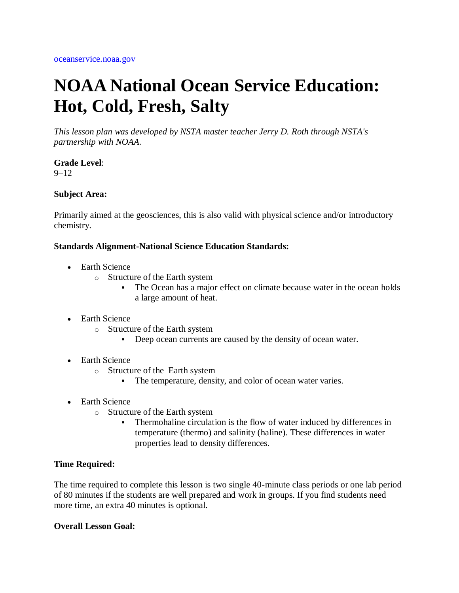# **NOAA National Ocean Service Education: Hot, Cold, Fresh, Salty**

*This lesson plan was developed by NSTA master teacher Jerry D. Roth through NSTA's partnership with NOAA.* 

# **Grade Level**:

9–12

#### **Subject Area:**

Primarily aimed at the geosciences, this is also valid with physical science and/or introductory chemistry.

#### **Standards Alignment-National Science Education Standards:**

- Earth Science
	- o Structure of the Earth system
		- The Ocean has a major effect on climate because water in the ocean holds a large amount of heat.
- Earth Science
	- o Structure of the Earth system
		- Deep ocean currents are caused by the density of ocean water.
- Earth Science
	- o Structure of the Earth system
		- The temperature, density, and color of ocean water varies.
- Earth Science
	- o Structure of the Earth system
		- Thermohaline circulation is the flow of water induced by differences in temperature (thermo) and salinity (haline). These differences in water properties lead to density differences.

#### **Time Required:**

The time required to complete this lesson is two single 40-minute class periods or one lab period of 80 minutes if the students are well prepared and work in groups. If you find students need more time, an extra 40 minutes is optional.

#### **Overall Lesson Goal:**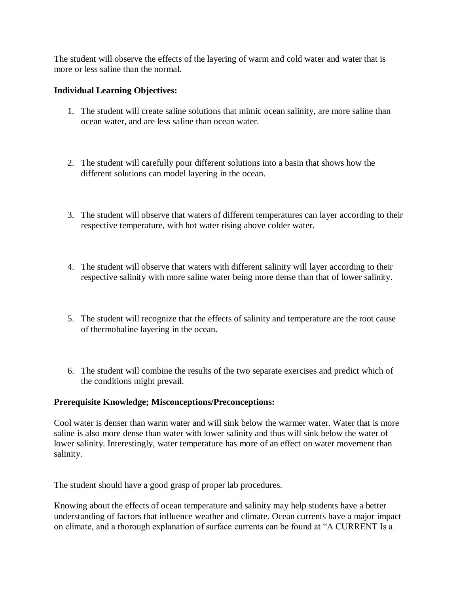The student will observe the effects of the layering of warm and cold water and water that is more or less saline than the normal.

#### **Individual Learning Objectives:**

- 1. The student will create saline solutions that mimic ocean salinity, are more saline than ocean water, and are less saline than ocean water.
- 2. The student will carefully pour different solutions into a basin that shows how the different solutions can model layering in the ocean.
- 3. The student will observe that waters of different temperatures can layer according to their respective temperature, with hot water rising above colder water.
- 4. The student will observe that waters with different salinity will layer according to their respective salinity with more saline water being more dense than that of lower salinity.
- 5. The student will recognize that the effects of salinity and temperature are the root cause of thermohaline layering in the ocean.
- 6. The student will combine the results of the two separate exercises and predict which of the conditions might prevail.

#### **Prerequisite Knowledge; Misconceptions/Preconceptions:**

Cool water is denser than warm water and will sink below the warmer water. Water that is more saline is also more dense than water with lower salinity and thus will sink below the water of lower salinity. Interestingly, water temperature has more of an effect on water movement than salinity.

The student should have a good grasp of proper lab procedures.

Knowing about the effects of ocean temperature and salinity may help students have a better understanding of factors that influence weather and climate. Ocean currents have a major impact on climate, and a thorough explanation of surface currents can be found at "A CURRENT Is a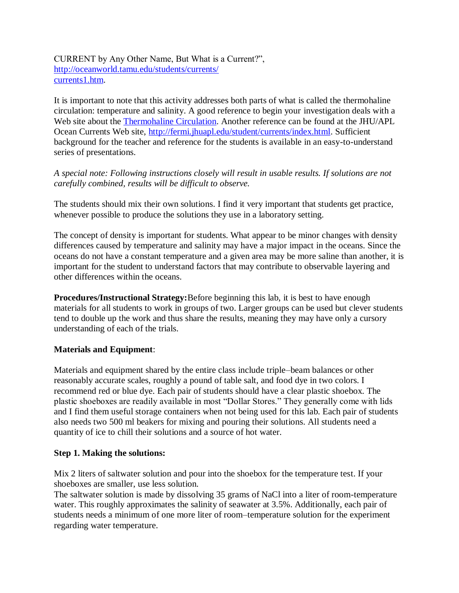CURRENT by Any Other Name, But What is a Current?", [http://oceanworld.tamu.edu/students/currents/](http://oceanworld.tamu.edu/students/currents/currents1.htm) [currents1.htm.](http://oceanworld.tamu.edu/students/currents/currents1.htm)

It is important to note that this activity addresses both parts of what is called the thermohaline circulation: temperature and salinity. A good reference to begin your investigation deals with a Web site about the [Thermohaline Circulation.](http://www.cru.uea.ac.uk/cru/info/thc/) Another reference can be found at the JHU/APL Ocean Currents Web site, [http://fermi.jhuapl.edu/student/currents/index.html.](http://fermi.jhuapl.edu/student/currents/index.html) Sufficient background for the teacher and reference for the students is available in an easy-to-understand series of presentations.

*A special note: Following instructions closely will result in usable results. If solutions are not carefully combined, results will be difficult to observe.*

The students should mix their own solutions. I find it very important that students get practice, whenever possible to produce the solutions they use in a laboratory setting.

The concept of density is important for students. What appear to be minor changes with density differences caused by temperature and salinity may have a major impact in the oceans. Since the oceans do not have a constant temperature and a given area may be more saline than another, it is important for the student to understand factors that may contribute to observable layering and other differences within the oceans.

**Procedures/Instructional Strategy:**Before beginning this lab, it is best to have enough materials for all students to work in groups of two. Larger groups can be used but clever students tend to double up the work and thus share the results, meaning they may have only a cursory understanding of each of the trials.

## **Materials and Equipment**:

Materials and equipment shared by the entire class include triple–beam balances or other reasonably accurate scales, roughly a pound of table salt, and food dye in two colors. I recommend red or blue dye. Each pair of students should have a clear plastic shoebox. The plastic shoeboxes are readily available in most "Dollar Stores." They generally come with lids and I find them useful storage containers when not being used for this lab. Each pair of students also needs two 500 ml beakers for mixing and pouring their solutions. All students need a quantity of ice to chill their solutions and a source of hot water.

## **Step 1. Making the solutions:**

Mix 2 liters of saltwater solution and pour into the shoebox for the temperature test. If your shoeboxes are smaller, use less solution.

The saltwater solution is made by dissolving 35 grams of NaCl into a liter of room-temperature water. This roughly approximates the salinity of seawater at 3.5%. Additionally, each pair of students needs a minimum of one more liter of room–temperature solution for the experiment regarding water temperature.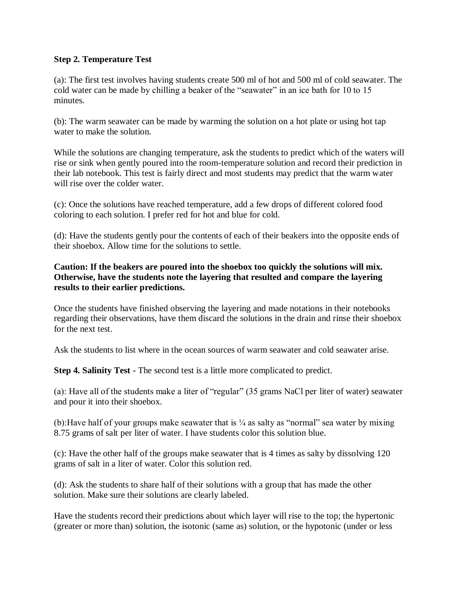#### **Step 2. Temperature Test**

(a): The first test involves having students create 500 ml of hot and 500 ml of cold seawater. The cold water can be made by chilling a beaker of the "seawater" in an ice bath for 10 to 15 minutes.

(b): The warm seawater can be made by warming the solution on a hot plate or using hot tap water to make the solution.

While the solutions are changing temperature, ask the students to predict which of the waters will rise or sink when gently poured into the room-temperature solution and record their prediction in their lab notebook. This test is fairly direct and most students may predict that the warm water will rise over the colder water.

(c): Once the solutions have reached temperature, add a few drops of different colored food coloring to each solution. I prefer red for hot and blue for cold.

(d): Have the students gently pour the contents of each of their beakers into the opposite ends of their shoebox. Allow time for the solutions to settle.

## **Caution: If the beakers are poured into the shoebox too quickly the solutions will mix. Otherwise, have the students note the layering that resulted and compare the layering results to their earlier predictions.**

Once the students have finished observing the layering and made notations in their notebooks regarding their observations, have them discard the solutions in the drain and rinse their shoebox for the next test.

Ask the students to list where in the ocean sources of warm seawater and cold seawater arise.

**Step 4. Salinity Test -** The second test is a little more complicated to predict.

(a): Have all of the students make a liter of "regular" (35 grams NaCl per liter of water) seawater and pour it into their shoebox.

(b): Have half of your groups make seawater that is  $\frac{1}{4}$  as salty as "normal" sea water by mixing 8.75 grams of salt per liter of water. I have students color this solution blue.

(c): Have the other half of the groups make seawater that is 4 times as salty by dissolving 120 grams of salt in a liter of water. Color this solution red.

(d): Ask the students to share half of their solutions with a group that has made the other solution. Make sure their solutions are clearly labeled.

Have the students record their predictions about which layer will rise to the top; the hypertonic (greater or more than) solution, the isotonic (same as) solution, or the hypotonic (under or less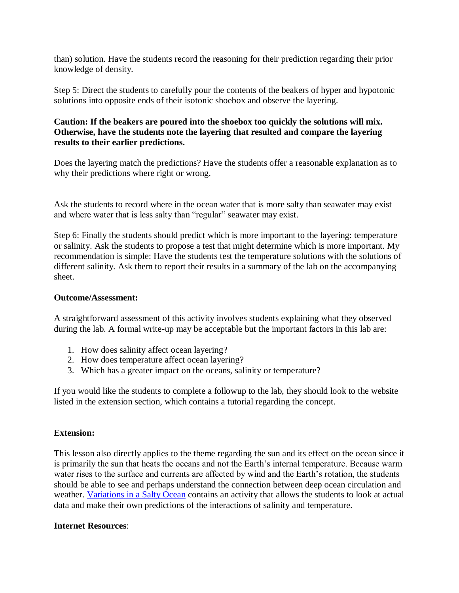than) solution. Have the students record the reasoning for their prediction regarding their prior knowledge of density.

Step 5: Direct the students to carefully pour the contents of the beakers of hyper and hypotonic solutions into opposite ends of their isotonic shoebox and observe the layering.

#### **Caution: If the beakers are poured into the shoebox too quickly the solutions will mix. Otherwise, have the students note the layering that resulted and compare the layering results to their earlier predictions.**

Does the layering match the predictions? Have the students offer a reasonable explanation as to why their predictions where right or wrong.

Ask the students to record where in the ocean water that is more salty than seawater may exist and where water that is less salty than "regular" seawater may exist.

Step 6: Finally the students should predict which is more important to the layering: temperature or salinity. Ask the students to propose a test that might determine which is more important. My recommendation is simple: Have the students test the temperature solutions with the solutions of different salinity. Ask them to report their results in a summary of the lab on the accompanying sheet.

#### **Outcome/Assessment:**

A straightforward assessment of this activity involves students explaining what they observed during the lab. A formal write-up may be acceptable but the important factors in this lab are:

- 1. How does salinity affect ocean layering?
- 2. How does temperature affect ocean layering?
- 3. Which has a greater impact on the oceans, salinity or temperature?

If you would like the students to complete a followup to the lab, they should look to the website listed in the extension section, which contains a tutorial regarding the concept.

## **Extension:**

This lesson also directly applies to the theme regarding the sun and its effect on the ocean since it is primarily the sun that heats the oceans and not the Earth's internal temperature. Because warm water rises to the surface and currents are affected by wind and the Earth's rotation, the students should be able to see and perhaps understand the connection between deep ocean circulation and weather. [Variations in a Salty Ocean](http://www.classzone.com/books/earth_science/terc/content/investigations/es2202/es2202page01.cfm) contains an activity that allows the students to look at actual data and make their own predictions of the interactions of salinity and temperature.

## **Internet Resources**: